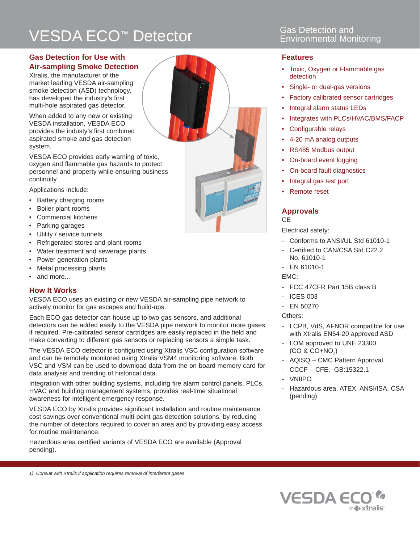# VESDA ECO<sup>™</sup> Detector **No. 25 Setection and Gas Detection and CO**<sup>™</sup> Detector **Environmental Monitoring**

### **Gas Detection for Use with Air-sampling Smoke Detection**

Xtralis, the manufacturer of the market leading VESDA air-sampling smoke detection (ASD) technology, has developed the industry's first multi-hole aspirated gas detector.

When added to any new or existing VESDA installation, VESDA ECO provides the industy's first combined aspirated smoke and gas detection system.

VESDA ECO provides early warning of toxic, oxygen and flammable gas hazards to protect personnel and property while ensuring business continuity.

Applications include:

- Battery charging rooms
- Boiler plant rooms
- Commercial kitchens
- Parking garages
- Utility / service tunnels
- Refrigerated stores and plant rooms
- Water treatment and sewerage plants
- Power generation plants
- Metal processing plants
- and more...

### **How It Works**

VESDA ECO uses an existing or new VESDA air-sampling pipe network to actively monitor for gas escapes and build-ups.

Each ECO gas detector can house up to two gas sensors, and additional detectors can be added easily to the VESDA pipe network to monitor more gases if required. Pre-calibrated sensor cartridges are easily replaced in the field and make converting to different gas sensors or replacing sensors a simple task.

The VESDA ECO detector is configured using Xtralis VSC configuration software and can be remotely monitored using Xtralis VSM4 monitoring software. Both VSC and VSM can be used to download data from the on-board memory card for data analysis and trending of historical data.

Integration with other building systems, including fire alarm control panels, PLCs, HVAC and building management systems, provides real-time situational awareness for intelligent emergency response.

VESDA ECO by Xtralis provides significant installation and routine maintenance cost savings over conventional multi-point gas detection solutions, by reducing the number of detectors required to cover an area and by providing easy access for routine maintenance.

Hazardous area certified variants of VESDA ECO are available (Approval pending).

#### *1) Consult with Xtralis if application requires removal of interferent gases.*

## **Environmental Monitoring**

#### **Features**

- Toxic, Oxygen or Flammable gas detection
- Single- or dual-gas versions
- Factory calibrated sensor cartridges
- Integral alarm status LEDs
- Integrates with PLCs/HVAC/BMS/FACP
- Configurable relays
- 4-20 mA analog outputs
- RS485 Modbus output
- On-board event logging
- On-board fault diagnostics
- Integral gas test port
- Remote reset

#### **Approvals**

#### **CE**

Electrical safety:

- Conforms to ANSI/UL Std 61010-1
- Certified to CAN/CSA Std C22.2 No. 61010-1
- EN 61010-1

EMC:

- FCC 47CFR Part 15B class B
- ICES 003
- EN 50270

Others:

- LCPB, VdS, AFNOR compatible for use with Xtralis EN54-20 approved ASD
- LOM approved to UNE 23300  $(CO & CO + NO<sub>2</sub>)$
- AQISQ CMC Pattern Approval
- CCCF CFE, GB:15322.1
- VNIIPO
- Hazardous area, ATEX, ANSI/ISA, CSA (pending)



**VESDA ECI** by  $\leftrightarrow$  xtralis